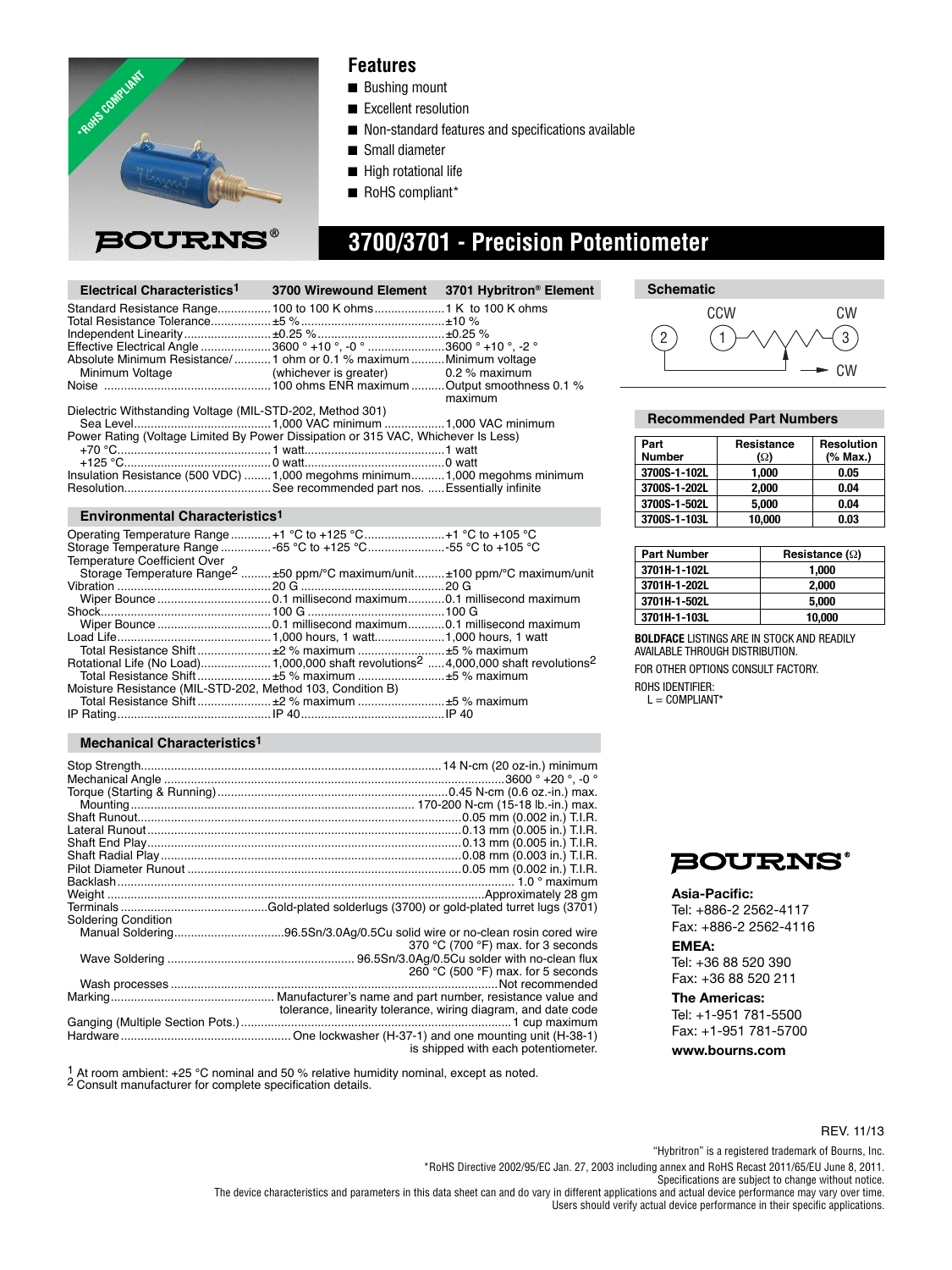

### **Features**

- Bushing mount
- Excellent resolution
- Non-standard features and specifications available
- Small diameter
- High rotational life
- RoHS compliant\*

# **3700/3701 - Precision Potentiometer**

| Electrical Characteristics <sup>1</sup>                                                                                                                         | 3700 Wirewound Element               | 3701 Hybritron <sup>®</sup> Element |
|-----------------------------------------------------------------------------------------------------------------------------------------------------------------|--------------------------------------|-------------------------------------|
| Standard Resistance Range100 to 100 K ohms1 K to 100 K ohms                                                                                                     |                                      |                                     |
|                                                                                                                                                                 |                                      |                                     |
|                                                                                                                                                                 |                                      |                                     |
| Effective Electrical Angle 3600 ° +10 °, -0 ° 3600 ° +10 °, -2 °                                                                                                |                                      |                                     |
| Absolute Minimum Resistance/1 ohm or 0.1 % maximum  Minimum voltage                                                                                             |                                      |                                     |
| Minimum Voltage                                                                                                                                                 | (whichever is greater) 0.2 % maximum |                                     |
|                                                                                                                                                                 |                                      | maximum                             |
| Dielectric Withstanding Voltage (MIL-STD-202, Method 301)                                                                                                       |                                      |                                     |
|                                                                                                                                                                 |                                      |                                     |
| Power Rating (Voltage Limited By Power Dissipation or 315 VAC, Whichever Is Less)                                                                               |                                      |                                     |
|                                                                                                                                                                 |                                      |                                     |
|                                                                                                                                                                 |                                      |                                     |
| Insulation Resistance (500 VDC)  1,000 megohms minimum 1,000 megohms minimum                                                                                    |                                      |                                     |
|                                                                                                                                                                 |                                      |                                     |
| <b>Environmental Characteristics1</b>                                                                                                                           |                                      |                                     |
| Operating Temperature Range  +1 °C to +125 °C  +1 °C to +105 °C<br>Storage Temperature Range -65 °C to +125 °C 55 °C to +105 °C<br>Temperature Coefficient Over |                                      |                                     |

| <b>Temperature Coefficient Over</b>                                                     |  |
|-----------------------------------------------------------------------------------------|--|
| Storage Temperature Range <sup>2</sup> ±50 ppm/°C maximum/unit ±100 ppm/°C maximum/unit |  |
|                                                                                         |  |
|                                                                                         |  |
|                                                                                         |  |
|                                                                                         |  |
|                                                                                         |  |
| Total Resistance Shift±2 % maximum ±5 % maximum                                         |  |
|                                                                                         |  |
| Total Resistance Shift±5 % maximum ±5 % maximum                                         |  |
| Moisture Resistance (MIL-STD-202, Method 103, Condition B)                              |  |
| Total Resistance Shift±2 % maximum ±5 % maximum                                         |  |
|                                                                                         |  |
|                                                                                         |  |

### **Mechanical Characteristics1**

| <b>Soldering Condition</b> |                                                               |
|----------------------------|---------------------------------------------------------------|
|                            |                                                               |
|                            | 370 °C (700 °F) max. for 3 seconds                            |
|                            |                                                               |
|                            | 260 °C (500 °F) max. for 5 seconds                            |
|                            |                                                               |
|                            |                                                               |
|                            | tolerance, linearity tolerance, wiring diagram, and date code |
|                            |                                                               |
|                            |                                                               |
|                            | is shipped with each potentiometer.                           |

<sup>1</sup> At room ambient:  $+25$  °C nominal and 50 % relative humidity nominal, except as noted. <sup>2</sup> Consult manufacturer for complete specification details.



### **Recommended Part Numbers**

| Part                          | Resistance          | <b>Resolution</b> |
|-------------------------------|---------------------|-------------------|
| <b>Number</b><br>3700S-1-102L | $(\Omega)$<br>1.000 | (% Max.)<br>0.05  |
| 3700S-1-202L                  | 2.000               | 0.04              |
| 3700S-1-502L                  | 5.000               | 0.04              |
| 3700S-1-103L                  | 10.000              | 0.03              |

| <b>Part Number</b> | Resistance $(\Omega)$ |
|--------------------|-----------------------|
| 3701H-1-102L       | 1,000                 |
| 3701H-1-202L       | 2.000                 |
| 3701H-1-502L       | 5.000                 |
| 3701H-1-103L       | 10.000                |

**BOLDFACE** LISTINGS ARE IN STOCK AND READILY AVAILABLE THROUGH DISTRIBUTION. FOR OTHER OPTIONS CONSULT FACTORY.

ROHS IDENTIFIER:

 $L =$  COMPLIANT\*



#### **Asia-Pacific:**

Tel: +886-2 2562-4117 Fax: +886-2 2562-4116

**EMEA:** 

Tel: +36 88 520 390 Fax: +36 88 520 211

**The Americas:**  Tel: +1-951 781-5500 Fax: +1-951 781-5700

**www.bourns.com**

#### REV. 11/13

"Hybritron" is a registered trademark of Bourns, Inc.

\*RoHS Directive 2002/95/EC Jan. 27, 2003 including annex and RoHS Recast 2011/65/EU June 8, 2011.

Specifications are subject to change without notice.

The device characteristics and parameters in this data sheet can and do vary in different applications and actual device performance may vary over time.

Users should verify actual device performance in their specific applications.